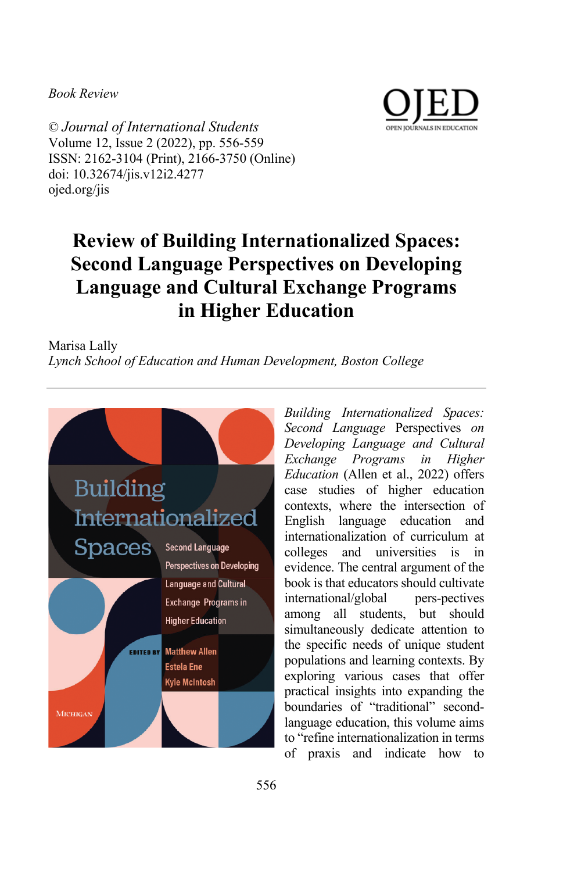*Book Review*



© *Journal of International Students* Volume 12, Issue 2 (2022), pp. 556-559 ISSN: 2162-3104 (Print), 2166-3750 (Online) doi: 10.32674/jis.v12i2.4277 ojed.org/jis

## **Review of Building Internationalized Spaces: Second Language Perspectives on Developing Language and Cultural Exchange Programs in Higher Education**

Marisa Lally *Lynch School of Education and Human Development, Boston College*



*Building Internationalized Spaces: Second Language* Perspectives *on Developing Language and Cultural Exchange Programs in Higher Education* (Allen et al., 2022) offers case studies of higher education contexts, where the intersection of English language education and internationalization of curriculum at colleges and universities is in evidence. The central argument of the book is that educators should cultivate international/global pers-pectives among all students, but should simultaneously dedicate attention to the specific needs of unique student populations and learning contexts. By exploring various cases that offer practical insights into expanding the boundaries of "traditional" secondlanguage education, this volume aims to "refine internationalization in terms of praxis and indicate how to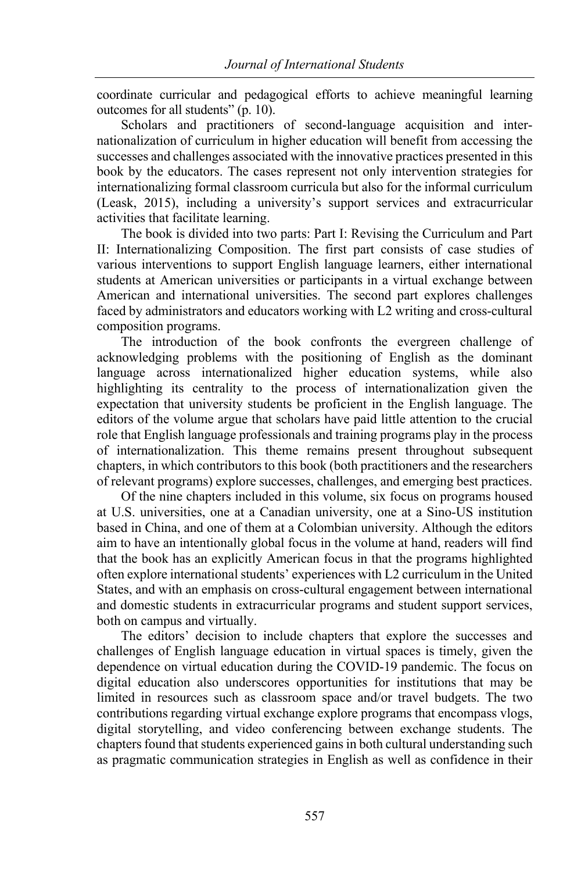coordinate curricular and pedagogical efforts to achieve meaningful learning outcomes for all students" (p. 10).

Scholars and practitioners of second-language acquisition and internationalization of curriculum in higher education will benefit from accessing the successes and challenges associated with the innovative practices presented in this book by the educators. The cases represent not only intervention strategies for internationalizing formal classroom curricula but also for the informal curriculum (Leask, 2015), including a university's support services and extracurricular activities that facilitate learning.

The book is divided into two parts: Part I: Revising the Curriculum and Part II: Internationalizing Composition. The first part consists of case studies of various interventions to support English language learners, either international students at American universities or participants in a virtual exchange between American and international universities. The second part explores challenges faced by administrators and educators working with L2 writing and cross-cultural composition programs.

The introduction of the book confronts the evergreen challenge of acknowledging problems with the positioning of English as the dominant language across internationalized higher education systems, while also highlighting its centrality to the process of internationalization given the expectation that university students be proficient in the English language. The editors of the volume argue that scholars have paid little attention to the crucial role that English language professionals and training programs play in the process of internationalization. This theme remains present throughout subsequent chapters, in which contributors to this book (both practitioners and the researchers of relevant programs) explore successes, challenges, and emerging best practices.

Of the nine chapters included in this volume, six focus on programs housed at U.S. universities, one at a Canadian university, one at a Sino-US institution based in China, and one of them at a Colombian university. Although the editors aim to have an intentionally global focus in the volume at hand, readers will find that the book has an explicitly American focus in that the programs highlighted often explore international students' experiences with L2 curriculum in the United States, and with an emphasis on cross-cultural engagement between international and domestic students in extracurricular programs and student support services, both on campus and virtually.

The editors' decision to include chapters that explore the successes and challenges of English language education in virtual spaces is timely, given the dependence on virtual education during the COVID-19 pandemic. The focus on digital education also underscores opportunities for institutions that may be limited in resources such as classroom space and/or travel budgets. The two contributions regarding virtual exchange explore programs that encompass vlogs, digital storytelling, and video conferencing between exchange students. The chapters found that students experienced gains in both cultural understanding such as pragmatic communication strategies in English as well as confidence in their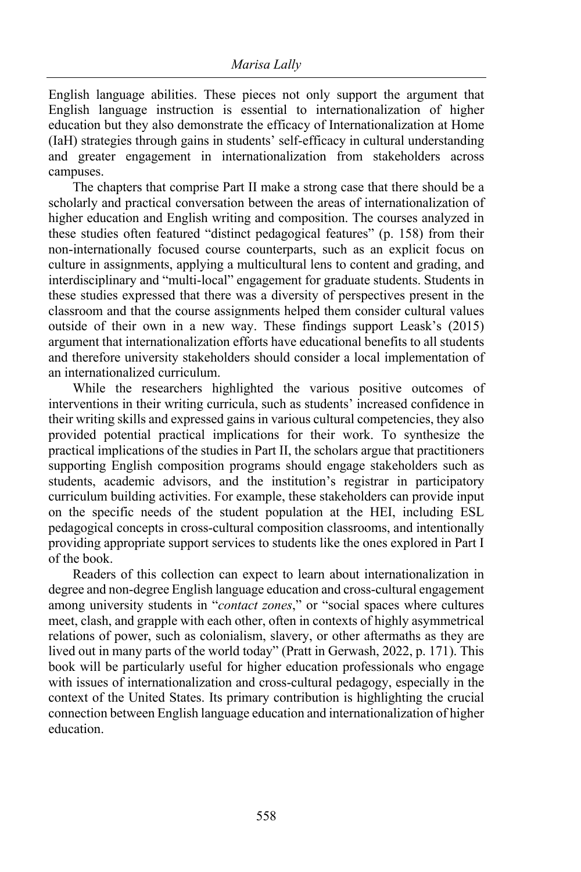English language abilities. These pieces not only support the argument that English language instruction is essential to internationalization of higher education but they also demonstrate the efficacy of Internationalization at Home (IaH) strategies through gains in students' self-efficacy in cultural understanding and greater engagement in internationalization from stakeholders across campuses.

The chapters that comprise Part II make a strong case that there should be a scholarly and practical conversation between the areas of internationalization of higher education and English writing and composition. The courses analyzed in these studies often featured "distinct pedagogical features" (p. 158) from their non-internationally focused course counterparts, such as an explicit focus on culture in assignments, applying a multicultural lens to content and grading, and interdisciplinary and "multi-local" engagement for graduate students. Students in these studies expressed that there was a diversity of perspectives present in the classroom and that the course assignments helped them consider cultural values outside of their own in a new way. These findings support Leask's (2015) argument that internationalization efforts have educational benefits to all students and therefore university stakeholders should consider a local implementation of an internationalized curriculum.

While the researchers highlighted the various positive outcomes of interventions in their writing curricula, such as students' increased confidence in their writing skills and expressed gains in various cultural competencies, they also provided potential practical implications for their work. To synthesize the practical implications of the studies in Part II, the scholars argue that practitioners supporting English composition programs should engage stakeholders such as students, academic advisors, and the institution's registrar in participatory curriculum building activities. For example, these stakeholders can provide input on the specific needs of the student population at the HEI, including ESL pedagogical concepts in cross-cultural composition classrooms, and intentionally providing appropriate support services to students like the ones explored in Part I of the book.

Readers of this collection can expect to learn about internationalization in degree and non-degree English language education and cross-cultural engagement among university students in "*contact zones*," or "social spaces where cultures meet, clash, and grapple with each other, often in contexts of highly asymmetrical relations of power, such as colonialism, slavery, or other aftermaths as they are lived out in many parts of the world today" (Pratt in Gerwash, 2022, p. 171). This book will be particularly useful for higher education professionals who engage with issues of internationalization and cross-cultural pedagogy, especially in the context of the United States. Its primary contribution is highlighting the crucial connection between English language education and internationalization of higher education.